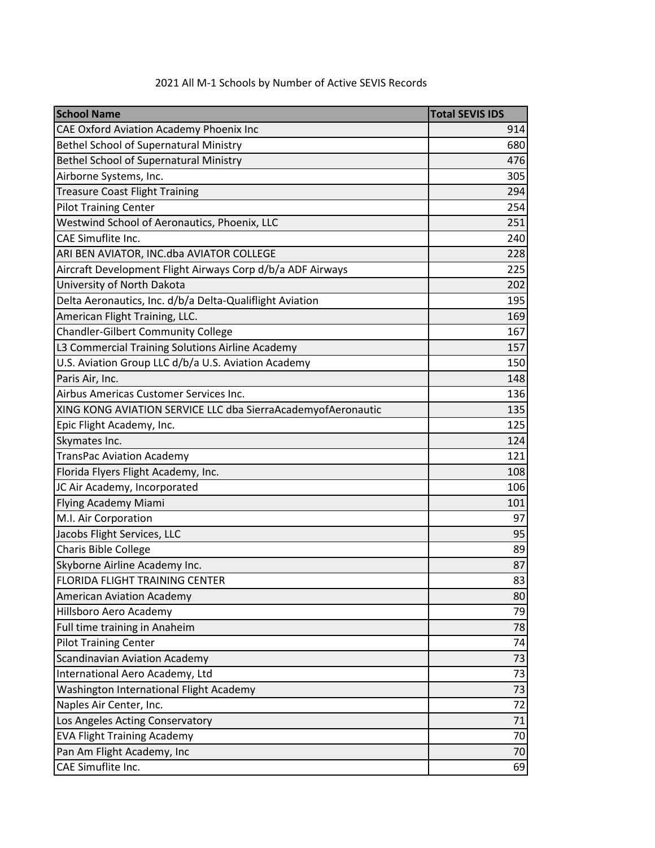| <b>School Name</b>                                           | <b>Total SEVIS IDS</b> |
|--------------------------------------------------------------|------------------------|
| CAE Oxford Aviation Academy Phoenix Inc                      | 914                    |
| Bethel School of Supernatural Ministry                       | 680                    |
| Bethel School of Supernatural Ministry                       | 476                    |
| Airborne Systems, Inc.                                       | 305                    |
| <b>Treasure Coast Flight Training</b>                        | 294                    |
| <b>Pilot Training Center</b>                                 | 254                    |
| Westwind School of Aeronautics, Phoenix, LLC                 | 251                    |
| CAE Simuflite Inc.                                           | 240                    |
| ARI BEN AVIATOR, INC.dba AVIATOR COLLEGE                     | 228                    |
| Aircraft Development Flight Airways Corp d/b/a ADF Airways   | 225                    |
| University of North Dakota                                   | 202                    |
| Delta Aeronautics, Inc. d/b/a Delta-Qualiflight Aviation     | 195                    |
| American Flight Training, LLC.                               | 169                    |
| <b>Chandler-Gilbert Community College</b>                    | 167                    |
| L3 Commercial Training Solutions Airline Academy             | 157                    |
| U.S. Aviation Group LLC d/b/a U.S. Aviation Academy          | 150                    |
| Paris Air, Inc.                                              | 148                    |
| Airbus Americas Customer Services Inc.                       | 136                    |
| XING KONG AVIATION SERVICE LLC dba SierraAcademyofAeronautic | 135                    |
| Epic Flight Academy, Inc.                                    | 125                    |
| Skymates Inc.                                                | 124                    |
| <b>TransPac Aviation Academy</b>                             | 121                    |
| Florida Flyers Flight Academy, Inc.                          | 108                    |
| JC Air Academy, Incorporated                                 | 106                    |
| Flying Academy Miami                                         | 101                    |
| M.I. Air Corporation                                         | 97                     |
| Jacobs Flight Services, LLC                                  | 95                     |
| Charis Bible College                                         | 89                     |
| Skyborne Airline Academy Inc.                                | 87                     |
| FLORIDA FLIGHT TRAINING CENTER                               | 83                     |
| <b>American Aviation Academy</b>                             | 80                     |
| Hillsboro Aero Academy                                       | 79                     |
| Full time training in Anaheim                                | 78                     |
| <b>Pilot Training Center</b>                                 | 74                     |
| <b>Scandinavian Aviation Academy</b>                         | 73                     |
| International Aero Academy, Ltd                              | 73                     |
| Washington International Flight Academy                      | 73                     |
| Naples Air Center, Inc.                                      | 72                     |
| Los Angeles Acting Conservatory                              | 71                     |
| <b>EVA Flight Training Academy</b>                           | 70                     |
| Pan Am Flight Academy, Inc                                   | 70                     |
| CAE Simuflite Inc.                                           | 69                     |

## 2021 All M-1 Schools by Number of Active SEVIS Records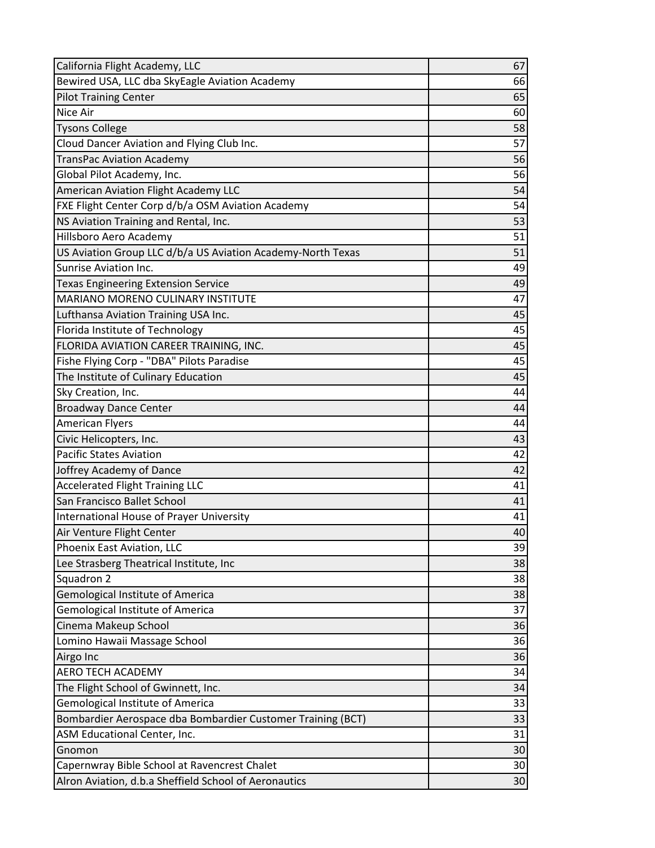| California Flight Academy, LLC                              | 67              |
|-------------------------------------------------------------|-----------------|
| Bewired USA, LLC dba SkyEagle Aviation Academy              | 66              |
| <b>Pilot Training Center</b>                                | 65              |
| Nice Air                                                    | 60              |
| <b>Tysons College</b>                                       | 58              |
| Cloud Dancer Aviation and Flying Club Inc.                  | 57              |
| <b>TransPac Aviation Academy</b>                            | 56              |
| Global Pilot Academy, Inc.                                  | 56              |
| American Aviation Flight Academy LLC                        | 54              |
| FXE Flight Center Corp d/b/a OSM Aviation Academy           | 54              |
| NS Aviation Training and Rental, Inc.                       | 53              |
| Hillsboro Aero Academy                                      | 51              |
| US Aviation Group LLC d/b/a US Aviation Academy-North Texas | 51              |
| Sunrise Aviation Inc.                                       | 49              |
| <b>Texas Engineering Extension Service</b>                  | 49              |
| <b>MARIANO MORENO CULINARY INSTITUTE</b>                    | 47              |
| Lufthansa Aviation Training USA Inc.                        | 45              |
| Florida Institute of Technology                             | 45              |
| FLORIDA AVIATION CAREER TRAINING, INC.                      | 45              |
| Fishe Flying Corp - "DBA" Pilots Paradise                   | 45              |
| The Institute of Culinary Education                         | 45              |
| Sky Creation, Inc.                                          | 44              |
| <b>Broadway Dance Center</b>                                | 44              |
| <b>American Flyers</b>                                      | 44              |
| Civic Helicopters, Inc.                                     | 43              |
| <b>Pacific States Aviation</b>                              | 42              |
| Joffrey Academy of Dance                                    | 42              |
| <b>Accelerated Flight Training LLC</b>                      | 41              |
| San Francisco Ballet School                                 | 41              |
| International House of Prayer University                    | 41              |
| Air Venture Flight Center                                   | 40              |
| Phoenix East Aviation, LLC                                  | 39              |
| Lee Strasberg Theatrical Institute, Inc                     | 38              |
| Squadron 2                                                  | 38              |
| Gemological Institute of America                            | 38              |
| <b>Gemological Institute of America</b>                     | 37              |
| Cinema Makeup School                                        | 36              |
| Lomino Hawaii Massage School                                | 36              |
| Airgo Inc                                                   | 36              |
| <b>AERO TECH ACADEMY</b>                                    | 34              |
| The Flight School of Gwinnett, Inc.                         | 34              |
| <b>Gemological Institute of America</b>                     | 33              |
| Bombardier Aerospace dba Bombardier Customer Training (BCT) | 33              |
| ASM Educational Center, Inc.                                | 31              |
| Gnomon                                                      | 30              |
| Capernwray Bible School at Ravencrest Chalet                | 30 <sup>°</sup> |
| Alron Aviation, d.b.a Sheffield School of Aeronautics       | 30              |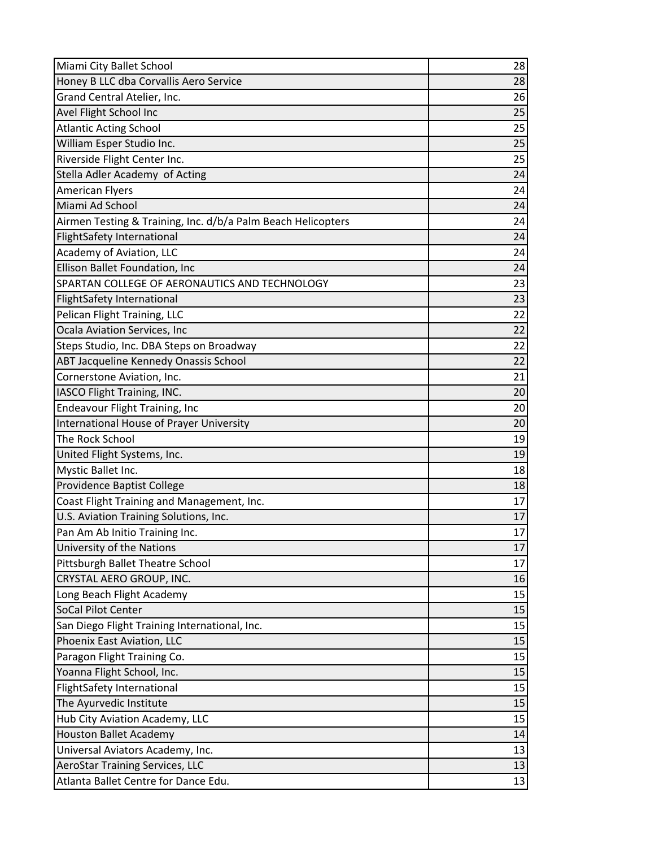| Miami City Ballet School                                     | 28 |
|--------------------------------------------------------------|----|
| Honey B LLC dba Corvallis Aero Service                       | 28 |
| Grand Central Atelier, Inc.                                  | 26 |
| Avel Flight School Inc                                       | 25 |
| <b>Atlantic Acting School</b>                                | 25 |
| William Esper Studio Inc.                                    | 25 |
| Riverside Flight Center Inc.                                 | 25 |
| Stella Adler Academy of Acting                               | 24 |
| <b>American Flyers</b>                                       | 24 |
| Miami Ad School                                              | 24 |
| Airmen Testing & Training, Inc. d/b/a Palm Beach Helicopters | 24 |
| <b>FlightSafety International</b>                            | 24 |
| Academy of Aviation, LLC                                     | 24 |
| Ellison Ballet Foundation, Inc                               | 24 |
| SPARTAN COLLEGE OF AERONAUTICS AND TECHNOLOGY                | 23 |
| <b>FlightSafety International</b>                            | 23 |
| Pelican Flight Training, LLC                                 | 22 |
| Ocala Aviation Services, Inc                                 | 22 |
| Steps Studio, Inc. DBA Steps on Broadway                     | 22 |
| ABT Jacqueline Kennedy Onassis School                        | 22 |
| Cornerstone Aviation, Inc.                                   | 21 |
| IASCO Flight Training, INC.                                  | 20 |
| <b>Endeavour Flight Training, Inc</b>                        | 20 |
| International House of Prayer University                     | 20 |
| The Rock School                                              | 19 |
| United Flight Systems, Inc.                                  | 19 |
| Mystic Ballet Inc.                                           | 18 |
| Providence Baptist College                                   | 18 |
| Coast Flight Training and Management, Inc.                   | 17 |
| U.S. Aviation Training Solutions, Inc.                       | 17 |
| Pan Am Ab Initio Training Inc.                               | 17 |
| University of the Nations                                    | 17 |
| Pittsburgh Ballet Theatre School                             | 17 |
| CRYSTAL AERO GROUP, INC.                                     | 16 |
| Long Beach Flight Academy                                    | 15 |
| SoCal Pilot Center                                           | 15 |
| San Diego Flight Training International, Inc.                | 15 |
| Phoenix East Aviation, LLC                                   | 15 |
| Paragon Flight Training Co.                                  | 15 |
| Yoanna Flight School, Inc.                                   | 15 |
| <b>FlightSafety International</b>                            | 15 |
| The Ayurvedic Institute                                      | 15 |
| Hub City Aviation Academy, LLC                               | 15 |
| <b>Houston Ballet Academy</b>                                | 14 |
| Universal Aviators Academy, Inc.                             | 13 |
| <b>AeroStar Training Services, LLC</b>                       | 13 |
| Atlanta Ballet Centre for Dance Edu.                         | 13 |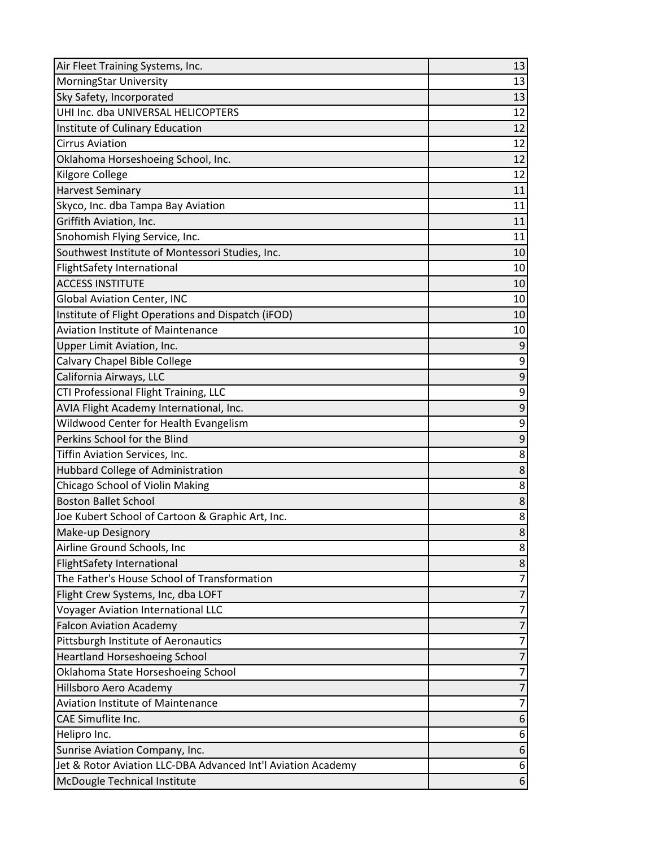| Air Fleet Training Systems, Inc.                                      | 13                  |
|-----------------------------------------------------------------------|---------------------|
| <b>MorningStar University</b>                                         | 13                  |
| Sky Safety, Incorporated                                              | 13                  |
| UHI Inc. dba UNIVERSAL HELICOPTERS                                    | 12                  |
| Institute of Culinary Education                                       | 12                  |
| <b>Cirrus Aviation</b>                                                | 12                  |
| Oklahoma Horseshoeing School, Inc.                                    | 12                  |
| Kilgore College                                                       | 12                  |
| <b>Harvest Seminary</b>                                               | 11                  |
| Skyco, Inc. dba Tampa Bay Aviation                                    | 11                  |
| Griffith Aviation, Inc.                                               | 11                  |
| Snohomish Flying Service, Inc.                                        | 11                  |
| Southwest Institute of Montessori Studies, Inc.                       | 10                  |
| <b>FlightSafety International</b>                                     | 10                  |
| <b>ACCESS INSTITUTE</b>                                               | 10                  |
| <b>Global Aviation Center, INC</b>                                    | 10                  |
| Institute of Flight Operations and Dispatch (iFOD)                    | 10                  |
| <b>Aviation Institute of Maintenance</b>                              | 10                  |
| Upper Limit Aviation, Inc.                                            | 9                   |
| Calvary Chapel Bible College                                          | 9                   |
| California Airways, LLC                                               | $\boldsymbol{9}$    |
| CTI Professional Flight Training, LLC                                 | 9                   |
| AVIA Flight Academy International, Inc.                               | $\boldsymbol{9}$    |
| Wildwood Center for Health Evangelism                                 | 9                   |
| Perkins School for the Blind                                          | $\boldsymbol{9}$    |
| Tiffin Aviation Services, Inc.                                        | 8                   |
| Hubbard College of Administration                                     | 8                   |
| Chicago School of Violin Making                                       | 8                   |
| <b>Boston Ballet School</b>                                           | $\bf 8$             |
| Joe Kubert School of Cartoon & Graphic Art, Inc.                      | 8                   |
| Make-up Designory                                                     | $\overline{8}$      |
| Airline Ground Schools, Inc                                           | 8 <sup>2</sup>      |
| FlightSafety International                                            | 8                   |
| The Father's House School of Transformation                           | 7                   |
| Flight Crew Systems, Inc, dba LOFT                                    | $\overline{7}$<br>7 |
| <b>Voyager Aviation International LLC</b>                             | 7                   |
| <b>Falcon Aviation Academy</b><br>Pittsburgh Institute of Aeronautics | 7                   |
| <b>Heartland Horseshoeing School</b>                                  | 7                   |
| Oklahoma State Horseshoeing School                                    | 7                   |
| Hillsboro Aero Academy                                                | $\overline{7}$      |
| <b>Aviation Institute of Maintenance</b>                              | 7                   |
| CAE Simuflite Inc.                                                    | 6                   |
| Helipro Inc.                                                          | 6                   |
| Sunrise Aviation Company, Inc.                                        | $6 \mid$            |
| Jet & Rotor Aviation LLC-DBA Advanced Int'l Aviation Academy          | 6                   |
| McDougle Technical Institute                                          | 6 <sup>1</sup>      |
|                                                                       |                     |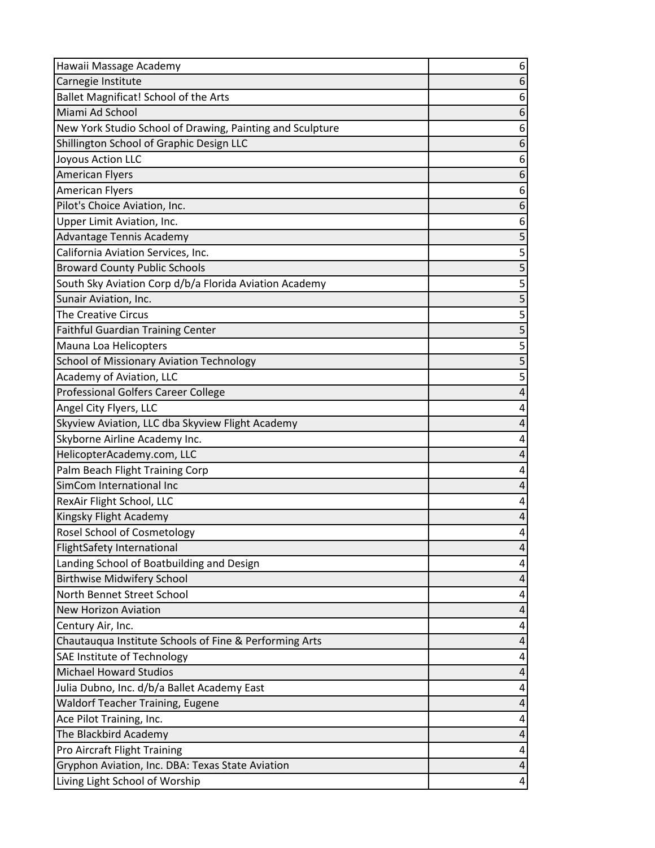| Hawaii Massage Academy                                                                 | 6                       |
|----------------------------------------------------------------------------------------|-------------------------|
| Carnegie Institute                                                                     | 6                       |
| Ballet Magnificat! School of the Arts                                                  | 6                       |
| Miami Ad School                                                                        | 6                       |
| New York Studio School of Drawing, Painting and Sculpture                              | 6                       |
| Shillington School of Graphic Design LLC                                               | 6                       |
| Joyous Action LLC                                                                      | 6                       |
| <b>American Flyers</b>                                                                 | 6                       |
| <b>American Flyers</b>                                                                 | 6                       |
| Pilot's Choice Aviation, Inc.                                                          | 6                       |
| Upper Limit Aviation, Inc.                                                             | 6                       |
| Advantage Tennis Academy                                                               | 5                       |
| California Aviation Services, Inc.                                                     | 5                       |
| <b>Broward County Public Schools</b>                                                   | 5                       |
| South Sky Aviation Corp d/b/a Florida Aviation Academy                                 | 5                       |
| Sunair Aviation, Inc.                                                                  | $\overline{\mathbf{5}}$ |
| <b>The Creative Circus</b>                                                             | 5                       |
| <b>Faithful Guardian Training Center</b>                                               | 5                       |
| Mauna Loa Helicopters                                                                  | 5                       |
| <b>School of Missionary Aviation Technology</b>                                        | 5                       |
| Academy of Aviation, LLC                                                               | 5                       |
| Professional Golfers Career College                                                    | 4                       |
| Angel City Flyers, LLC                                                                 | 4                       |
| Skyview Aviation, LLC dba Skyview Flight Academy                                       | 4                       |
| Skyborne Airline Academy Inc.                                                          | 4                       |
| HelicopterAcademy.com, LLC                                                             |                         |
| Palm Beach Flight Training Corp                                                        | 4                       |
| SimCom International Inc                                                               | 4                       |
| RexAir Flight School, LLC                                                              | 4                       |
| Kingsky Flight Academy                                                                 | 4                       |
| <b>Rosel School of Cosmetology</b>                                                     | 4                       |
| <b>FlightSafety International</b>                                                      | 4                       |
| Landing School of Boatbuilding and Design                                              | 4                       |
| <b>Birthwise Midwifery School</b>                                                      | 4                       |
| North Bennet Street School                                                             | 4                       |
| <b>New Horizon Aviation</b>                                                            | 4<br>4                  |
| Century Air, Inc.<br>Chautauqua Institute Schools of Fine & Performing Arts            | 4                       |
| SAE Institute of Technology                                                            | 4                       |
| <b>Michael Howard Studios</b>                                                          | 4                       |
|                                                                                        |                         |
| Julia Dubno, Inc. d/b/a Ballet Academy East<br><b>Waldorf Teacher Training, Eugene</b> | 4<br>4                  |
| Ace Pilot Training, Inc.                                                               | 4                       |
| The Blackbird Academy                                                                  | 4                       |
| Pro Aircraft Flight Training                                                           | 4                       |
| Gryphon Aviation, Inc. DBA: Texas State Aviation                                       | 4                       |
| Living Light School of Worship                                                         | $\vert 4 \vert$         |
|                                                                                        |                         |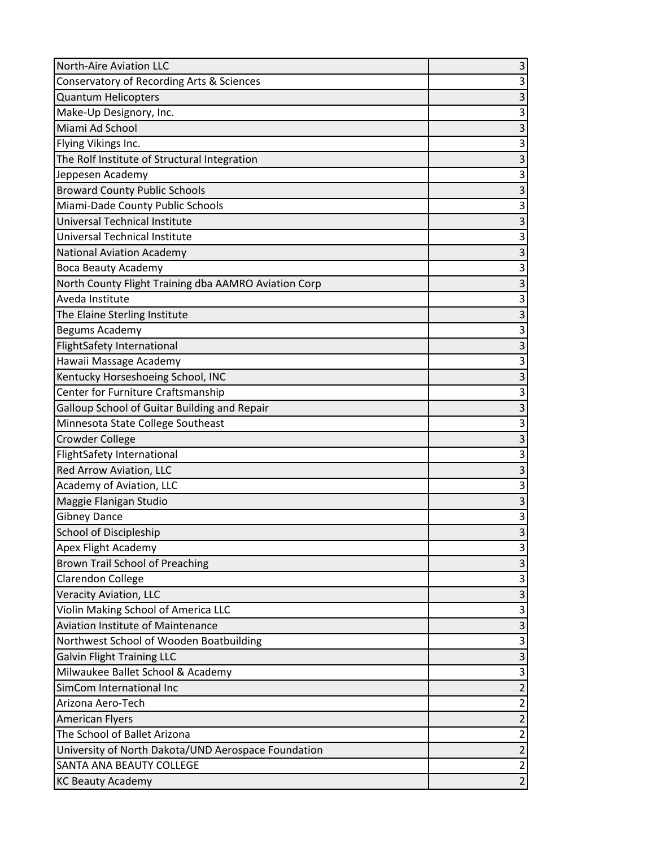| <b>North-Aire Aviation LLC</b>                       | $\vert 3 \vert$ |
|------------------------------------------------------|-----------------|
| Conservatory of Recording Arts & Sciences            | $\overline{3}$  |
| Quantum Helicopters                                  | 3               |
| Make-Up Designory, Inc.                              | 3               |
| Miami Ad School                                      | $\overline{3}$  |
| Flying Vikings Inc.                                  | 3               |
| The Rolf Institute of Structural Integration         | 3               |
| Jeppesen Academy                                     | 3               |
| <b>Broward County Public Schools</b>                 | $\overline{3}$  |
| Miami-Dade County Public Schools                     | $\mathsf{3}$    |
| Universal Technical Institute                        | 3               |
| Universal Technical Institute                        | 3               |
| <b>National Aviation Academy</b>                     | 3               |
| <b>Boca Beauty Academy</b>                           | $\overline{3}$  |
| North County Flight Training dba AAMRO Aviation Corp | 3               |
| Aveda Institute                                      | 3               |
| The Elaine Sterling Institute                        | $\overline{3}$  |
| Begums Academy                                       | 3               |
| <b>FlightSafety International</b>                    | 3               |
| Hawaii Massage Academy                               | 3               |
| Kentucky Horseshoeing School, INC                    | 3               |
| Center for Furniture Craftsmanship                   | 3               |
| Galloup School of Guitar Building and Repair         | 3               |
| Minnesota State College Southeast                    | $\overline{3}$  |
| <b>Crowder College</b>                               | 3               |
| <b>FlightSafety International</b>                    | 3               |
| Red Arrow Aviation, LLC                              | 3               |
| Academy of Aviation, LLC                             | 3               |
| Maggie Flanigan Studio                               | 3               |
| <b>Gibney Dance</b>                                  | 3               |
| School of Discipleship                               | $\overline{3}$  |
| Apex Flight Academy                                  | $\vert 3 \vert$ |
| Brown Trail School of Preaching                      | 3 <sup>1</sup>  |
| Clarendon College                                    | $\overline{3}$  |
| Veracity Aviation, LLC                               | 3               |
| Violin Making School of America LLC                  | $\vert 3 \vert$ |
| <b>Aviation Institute of Maintenance</b>             | $\overline{3}$  |
| Northwest School of Wooden Boatbuilding              | $\overline{3}$  |
| <b>Galvin Flight Training LLC</b>                    | $\vert$ 3       |
| Milwaukee Ballet School & Academy                    | $\overline{3}$  |
| SimCom International Inc                             | $\overline{2}$  |
| Arizona Aero-Tech                                    | $\overline{2}$  |
| <b>American Flyers</b>                               | $\overline{2}$  |
| The School of Ballet Arizona                         | $\overline{2}$  |
| University of North Dakota/UND Aerospace Foundation  | $\overline{2}$  |
| <b>SANTA ANA BEAUTY COLLEGE</b>                      | $\overline{2}$  |
| <b>KC Beauty Academy</b>                             | $\overline{2}$  |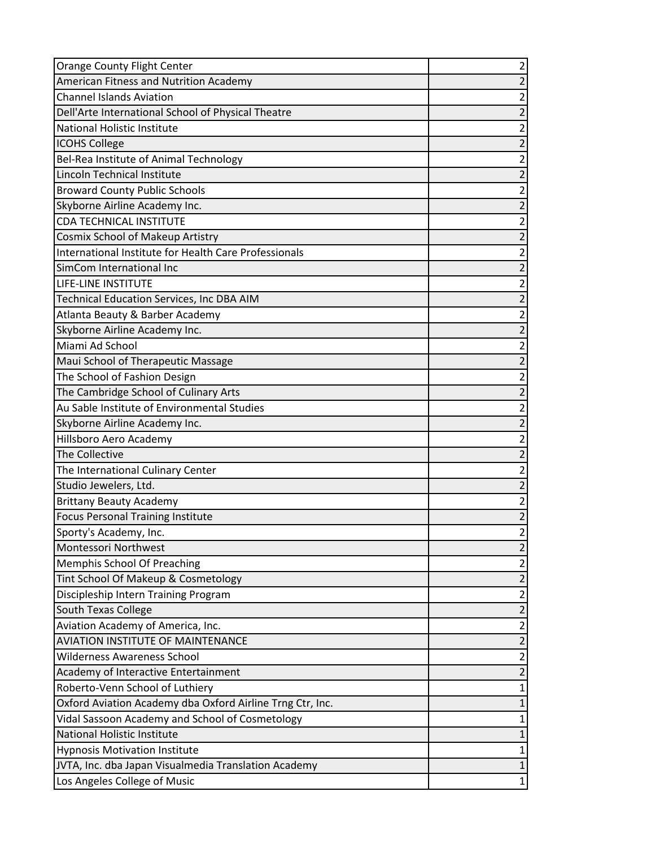| <b>Orange County Flight Center</b>                        | 2              |
|-----------------------------------------------------------|----------------|
| American Fitness and Nutrition Academy                    | $\overline{2}$ |
| <b>Channel Islands Aviation</b>                           | 2              |
| Dell'Arte International School of Physical Theatre        | $\overline{2}$ |
| <b>National Holistic Institute</b>                        | $\overline{c}$ |
| <b>ICOHS College</b>                                      | $\overline{2}$ |
| Bel-Rea Institute of Animal Technology                    | $\overline{2}$ |
| Lincoln Technical Institute                               | 2              |
| <b>Broward County Public Schools</b>                      | $\overline{2}$ |
| Skyborne Airline Academy Inc.                             | $\overline{2}$ |
| <b>CDA TECHNICAL INSTITUTE</b>                            | $\overline{2}$ |
| <b>Cosmix School of Makeup Artistry</b>                   | $\overline{2}$ |
| International Institute for Health Care Professionals     | $\overline{2}$ |
| SimCom International Inc                                  | $\overline{2}$ |
| LIFE-LINE INSTITUTE                                       | 2              |
| Technical Education Services, Inc DBA AIM                 | $\overline{2}$ |
| Atlanta Beauty & Barber Academy                           | $\overline{2}$ |
| Skyborne Airline Academy Inc.                             | $\overline{2}$ |
| Miami Ad School                                           | $\overline{2}$ |
| Maui School of Therapeutic Massage                        | $\overline{2}$ |
| The School of Fashion Design                              | $\overline{2}$ |
| The Cambridge School of Culinary Arts                     | 2              |
| Au Sable Institute of Environmental Studies               | 2              |
| Skyborne Airline Academy Inc.                             | $\overline{c}$ |
| Hillsboro Aero Academy                                    | $\overline{c}$ |
| The Collective                                            | $\overline{2}$ |
| The International Culinary Center                         | 2              |
| Studio Jewelers, Ltd.                                     | $\overline{2}$ |
| <b>Brittany Beauty Academy</b>                            | $\overline{c}$ |
| <b>Focus Personal Training Institute</b>                  | 2              |
| Sporty's Academy, Inc.                                    | $\overline{2}$ |
| Montessori Northwest                                      | $\overline{2}$ |
| Memphis School Of Preaching                               | 2              |
| Tint School Of Makeup & Cosmetology                       | $\overline{2}$ |
| Discipleship Intern Training Program                      | $\overline{2}$ |
| <b>South Texas College</b>                                | $\overline{2}$ |
| Aviation Academy of America, Inc.                         | $\overline{2}$ |
| <b>AVIATION INSTITUTE OF MAINTENANCE</b>                  | $\overline{2}$ |
| <b>Wilderness Awareness School</b>                        | 2              |
| Academy of Interactive Entertainment                      | $\overline{2}$ |
| Roberto-Venn School of Luthiery                           | 1              |
| Oxford Aviation Academy dba Oxford Airline Trng Ctr, Inc. | 1              |
| Vidal Sassoon Academy and School of Cosmetology           | 1              |
| <b>National Holistic Institute</b>                        |                |
| <b>Hypnosis Motivation Institute</b>                      | 1              |
| JVTA, Inc. dba Japan Visualmedia Translation Academy      | 1              |
| Los Angeles College of Music                              | 1              |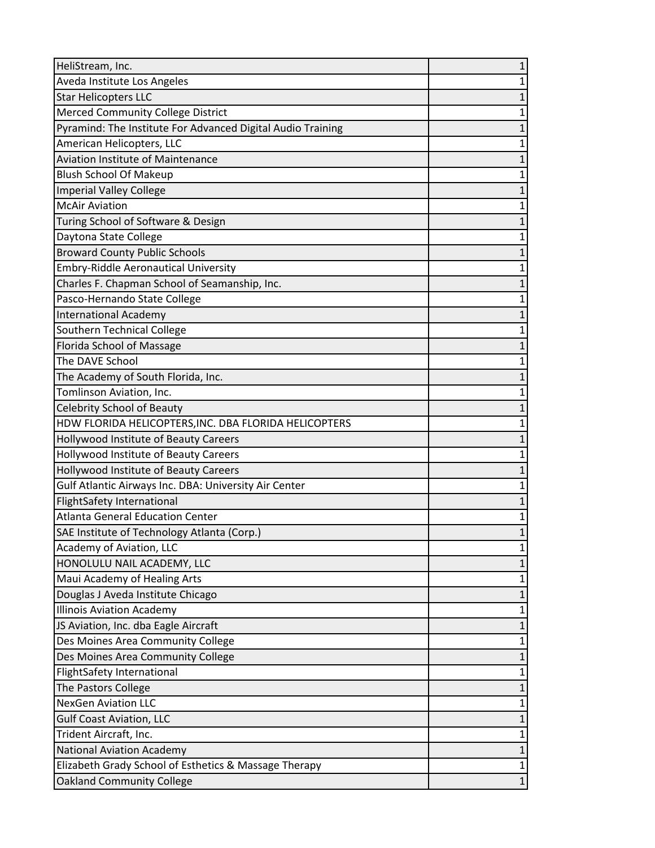| HeliStream, Inc.                                            | 1            |
|-------------------------------------------------------------|--------------|
| Aveda Institute Los Angeles                                 | $\mathbf{1}$ |
| <b>Star Helicopters LLC</b>                                 |              |
| Merced Community College District                           | 1            |
| Pyramind: The Institute For Advanced Digital Audio Training | 1            |
| American Helicopters, LLC                                   | 1            |
| <b>Aviation Institute of Maintenance</b>                    | 1            |
| <b>Blush School Of Makeup</b>                               | 1            |
| <b>Imperial Valley College</b>                              | 1            |
| <b>McAir Aviation</b>                                       | 1            |
| Turing School of Software & Design                          | 1            |
| Daytona State College                                       | 1            |
| <b>Broward County Public Schools</b>                        | 1            |
| Embry-Riddle Aeronautical University                        | 1            |
| Charles F. Chapman School of Seamanship, Inc.               | 1            |
| Pasco-Hernando State College                                | 1            |
| <b>International Academy</b>                                | 1            |
| Southern Technical College                                  | 1            |
| Florida School of Massage                                   | $\mathbf{1}$ |
| The DAVE School                                             | 1            |
| The Academy of South Florida, Inc.                          |              |
| Tomlinson Aviation, Inc.                                    | 1            |
| <b>Celebrity School of Beauty</b>                           | 1            |
| HDW FLORIDA HELICOPTERS, INC. DBA FLORIDA HELICOPTERS       | 1            |
| Hollywood Institute of Beauty Careers                       | 1            |
| Hollywood Institute of Beauty Careers                       |              |
| Hollywood Institute of Beauty Careers                       | 1            |
| Gulf Atlantic Airways Inc. DBA: University Air Center       | 1            |
| <b>FlightSafety International</b>                           | 1            |
| <b>Atlanta General Education Center</b>                     | 1            |
| SAE Institute of Technology Atlanta (Corp.)                 | $\mathbf{1}$ |
| Academy of Aviation, LLC                                    | 1            |
| HONOLULU NAIL ACADEMY, LLC                                  |              |
| Maui Academy of Healing Arts                                | 1            |
| Douglas J Aveda Institute Chicago                           | 1            |
| <b>Illinois Aviation Academy</b>                            | 1            |
| JS Aviation, Inc. dba Eagle Aircraft                        | 1            |
| Des Moines Area Community College                           | 1            |
| Des Moines Area Community College                           |              |
| <b>FlightSafety International</b>                           | 1            |
| The Pastors College                                         | 1            |
| <b>NexGen Aviation LLC</b>                                  | 1            |
| <b>Gulf Coast Aviation, LLC</b>                             | 1            |
| Trident Aircraft, Inc.                                      | 1            |
| <b>National Aviation Academy</b>                            | 1            |
| Elizabeth Grady School of Esthetics & Massage Therapy       | 1            |
| <b>Oakland Community College</b>                            | $\mathbf{1}$ |